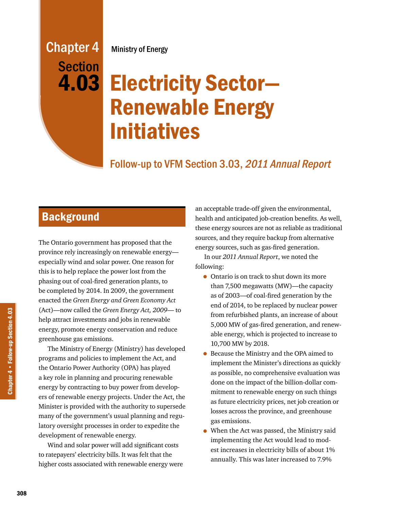# Chapter 4 Ministry of Energy Section 4.03

# Electricity Sector— Renewable Energy Initiatives

# Follow-up to VFM Section 3.03, 2011 Annual Report

# **Background**

The Ontario government has proposed that the province rely increasingly on renewable energy especially wind and solar power. One reason for this is to help replace the power lost from the phasing out of coal-fired generation plants, to be completed by 2014. In 2009, the government enacted the *Green Energy and Green Economy Act* (Act)—now called the *Green Energy Act, 2009*— to help attract investments and jobs in renewable energy, promote energy conservation and reduce greenhouse gas emissions.

The Ministry of Energy (Ministry) has developed programs and policies to implement the Act, and the Ontario Power Authority (OPA) has played a key role in planning and procuring renewable energy by contracting to buy power from developers of renewable energy projects. Under the Act, the Minister is provided with the authority to supersede many of the government's usual planning and regulatory oversight processes in order to expedite the development of renewable energy.

Wind and solar power will add significant costs to ratepayers' electricity bills. It was felt that the higher costs associated with renewable energy were

an acceptable trade-off given the environmental, health and anticipated job-creation benefits. As well, these energy sources are not as reliable as traditional sources, and they require backup from alternative energy sources, such as gas-fired generation.

In our *2011 Annual Report*, we noted the following:

- Ontario is on track to shut down its more than 7,500 megawatts (MW)—the capacity as of 2003—of coal-fired generation by the end of 2014, to be replaced by nuclear power from refurbished plants, an increase of about 5,000 MW of gas-fired generation, and renewable energy, which is projected to increase to 10,700 MW by 2018.
- Because the Ministry and the OPA aimed to implement the Minister's directions as quickly as possible, no comprehensive evaluation was done on the impact of the billion-dollar commitment to renewable energy on such things as future electricity prices, net job creation or losses across the province, and greenhouse gas emissions.
- When the Act was passed, the Ministry said implementing the Act would lead to modest increases in electricity bills of about 1% annually. This was later increased to 7.9%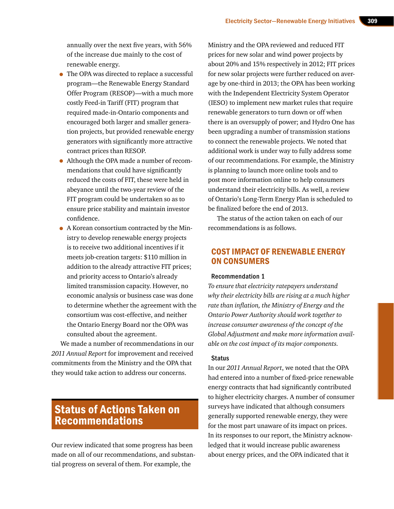annually over the next five years, with 56% of the increase due mainly to the cost of renewable energy.

- The OPA was directed to replace a successful program—the Renewable Energy Standard Offer Program (RESOP)—with a much more costly Feed-in Tariff (FIT) program that required made-in-Ontario components and encouraged both larger and smaller generation projects, but provided renewable energy generators with significantly more attractive contract prices than RESOP.
- Although the OPA made a number of recommendations that could have significantly reduced the costs of FIT, these were held in abeyance until the two-year review of the FIT program could be undertaken so as to ensure price stability and maintain investor confidence.
- A Korean consortium contracted by the Ministry to develop renewable energy projects is to receive two additional incentives if it meets job-creation targets: \$110 million in addition to the already attractive FIT prices; and priority access to Ontario's already limited transmission capacity. However, no economic analysis or business case was done to determine whether the agreement with the consortium was cost-effective, and neither the Ontario Energy Board nor the OPA was consulted about the agreement.

We made a number of recommendations in our *2011 Annual Report* for improvement and received commitments from the Ministry and the OPA that they would take action to address our concerns.

# Status of Actions Taken on Recommendations

Our review indicated that some progress has been made on all of our recommendations, and substantial progress on several of them. For example, the

Ministry and the OPA reviewed and reduced FIT prices for new solar and wind power projects by about 20% and 15% respectively in 2012; FIT prices for new solar projects were further reduced on average by one-third in 2013; the OPA has been working with the Independent Electricity System Operator (IESO) to implement new market rules that require renewable generators to turn down or off when there is an oversupply of power; and Hydro One has been upgrading a number of transmission stations to connect the renewable projects. We noted that additional work is under way to fully address some of our recommendations. For example, the Ministry is planning to launch more online tools and to post more information online to help consumers understand their electricity bills. As well, a review of Ontario's Long-Term Energy Plan is scheduled to be finalized before the end of 2013.

The status of the action taken on each of our recommendations is as follows.

# COST IMPACT OF RENEWABLE ENERGY ON CONSUMERS

#### Recommendation 1

*To ensure that electricity ratepayers understand why their electricity bills are rising at a much higher rate than inflation, the Ministry of Energy and the Ontario Power Authority should work together to increase consumer awareness of the concept of the Global Adjustment and make more information available on the cost impact of its major components.*

#### **Status**

In our *2011 Annual Report*, we noted that the OPA had entered into a number of fixed-price renewable energy contracts that had significantly contributed to higher electricity charges. A number of consumer surveys have indicated that although consumers generally supported renewable energy, they were for the most part unaware of its impact on prices. In its responses to our report, the Ministry acknowledged that it would increase public awareness about energy prices, and the OPA indicated that it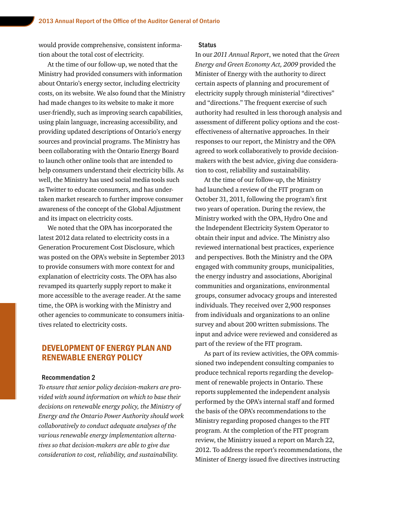would provide comprehensive, consistent information about the total cost of electricity.

At the time of our follow-up, we noted that the Ministry had provided consumers with information about Ontario's energy sector, including electricity costs, on its website. We also found that the Ministry had made changes to its website to make it more user-friendly, such as improving search capabilities, using plain language, increasing accessibility, and providing updated descriptions of Ontario's energy sources and provincial programs. The Ministry has been collaborating with the Ontario Energy Board to launch other online tools that are intended to help consumers understand their electricity bills. As well, the Ministry has used social media tools such as Twitter to educate consumers, and has undertaken market research to further improve consumer awareness of the concept of the Global Adjustment and its impact on electricity costs.

We noted that the OPA has incorporated the latest 2012 data related to electricity costs in a Generation Procurement Cost Disclosure, which was posted on the OPA's website in September 2013 to provide consumers with more context for and explanation of electricity costs. The OPA has also revamped its quarterly supply report to make it more accessible to the average reader. At the same time, the OPA is working with the Ministry and other agencies to communicate to consumers initiatives related to electricity costs.

## DEVELOPMENT OF ENERGY PLAN AND RENEWABLE ENERGY POLICY

#### Recommendation 2

*To ensure that senior policy decision-makers are provided with sound information on which to base their decisions on renewable energy policy, the Ministry of Energy and the Ontario Power Authority should work collaboratively to conduct adequate analyses of the various renewable energy implementation alternatives so that decision-makers are able to give due consideration to cost, reliability, and sustainability.*

#### **Status**

In our *2011 Annual Report*, we noted that the *Green Energy and Green Economy Act, 2009* provided the Minister of Energy with the authority to direct certain aspects of planning and procurement of electricity supply through ministerial "directives" and "directions." The frequent exercise of such authority had resulted in less thorough analysis and assessment of different policy options and the costeffectiveness of alternative approaches. In their responses to our report, the Ministry and the OPA agreed to work collaboratively to provide decisionmakers with the best advice, giving due consideration to cost, reliability and sustainability.

At the time of our follow-up, the Ministry had launched a review of the FIT program on October 31, 2011, following the program's first two years of operation. During the review, the Ministry worked with the OPA, Hydro One and the Independent Electricity System Operator to obtain their input and advice. The Ministry also reviewed international best practices, experience and perspectives. Both the Ministry and the OPA engaged with community groups, municipalities, the energy industry and associations, Aboriginal communities and organizations, environmental groups, consumer advocacy groups and interested individuals. They received over 2,900 responses from individuals and organizations to an online survey and about 200 written submissions. The input and advice were reviewed and considered as part of the review of the FIT program.

As part of its review activities, the OPA commissioned two independent consulting companies to produce technical reports regarding the development of renewable projects in Ontario. These reports supplemented the independent analysis performed by the OPA's internal staff and formed the basis of the OPA's recommendations to the Ministry regarding proposed changes to the FIT program. At the completion of the FIT program review, the Ministry issued a report on March 22, 2012. To address the report's recommendations, the Minister of Energy issued five directives instructing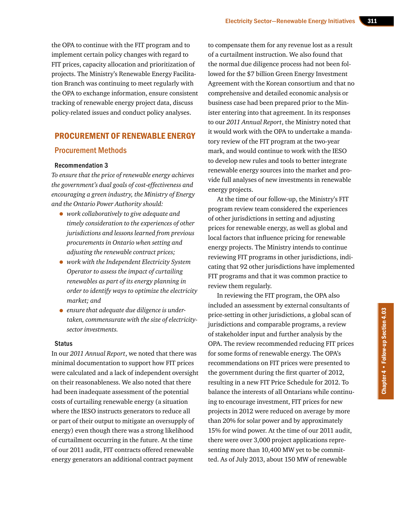the OPA to continue with the FIT program and to implement certain policy changes with regard to FIT prices, capacity allocation and prioritization of projects. The Ministry's Renewable Energy Facilitation Branch was continuing to meet regularly with the OPA to exchange information, ensure consistent tracking of renewable energy project data, discuss policy-related issues and conduct policy analyses.

# PROCUREMENT OF RENEWABLE ENERGY

#### Procurement Methods

#### Recommendation 3

*To ensure that the price of renewable energy achieves the government's dual goals of cost-effectiveness and encouraging a green industry, the Ministry of Energy and the Ontario Power Authority should:*

- *work collaboratively to give adequate and timely consideration to the experiences of other jurisdictions and lessons learned from previous procurements in Ontario when setting and adjusting the renewable contract prices;*
- *work with the Independent Electricity System Operator to assess the impact of curtailing renewables as part of its energy planning in order to identify ways to optimize the electricity market; and*
- *ensure that adequate due diligence is undertaken, commensurate with the size of electricitysector investments.*

#### **Status**

In our *2011 Annual Report*, we noted that there was minimal documentation to support how FIT prices were calculated and a lack of independent oversight on their reasonableness. We also noted that there had been inadequate assessment of the potential costs of curtailing renewable energy (a situation where the IESO instructs generators to reduce all or part of their output to mitigate an oversupply of energy) even though there was a strong likelihood of curtailment occurring in the future. At the time of our 2011 audit, FIT contracts offered renewable energy generators an additional contract payment

to compensate them for any revenue lost as a result of a curtailment instruction. We also found that the normal due diligence process had not been followed for the \$7 billion Green Energy Investment Agreement with the Korean consortium and that no comprehensive and detailed economic analysis or business case had been prepared prior to the Minister entering into that agreement. In its responses to our *2011 Annual Report*, the Ministry noted that it would work with the OPA to undertake a mandatory review of the FIT program at the two-year mark, and would continue to work with the IESO to develop new rules and tools to better integrate renewable energy sources into the market and provide full analyses of new investments in renewable energy projects.

At the time of our follow-up, the Ministry's FIT program review team considered the experiences of other jurisdictions in setting and adjusting prices for renewable energy, as well as global and local factors that influence pricing for renewable energy projects. The Ministry intends to continue reviewing FIT programs in other jurisdictions, indicating that 92 other jurisdictions have implemented FIT programs and that it was common practice to review them regularly.

In reviewing the FIT program, the OPA also included an assessment by external consultants of price-setting in other jurisdictions, a global scan of jurisdictions and comparable programs, a review of stakeholder input and further analysis by the OPA. The review recommended reducing FIT prices for some forms of renewable energy. The OPA's recommendations on FIT prices were presented to the government during the first quarter of 2012, resulting in a new FIT Price Schedule for 2012. To balance the interests of all Ontarians while continuing to encourage investment, FIT prices for new projects in 2012 were reduced on average by more than 20% for solar power and by approximately 15% for wind power. At the time of our 2011 audit, there were over 3,000 project applications representing more than 10,400 MW yet to be committed. As of July 2013, about 150 MW of renewable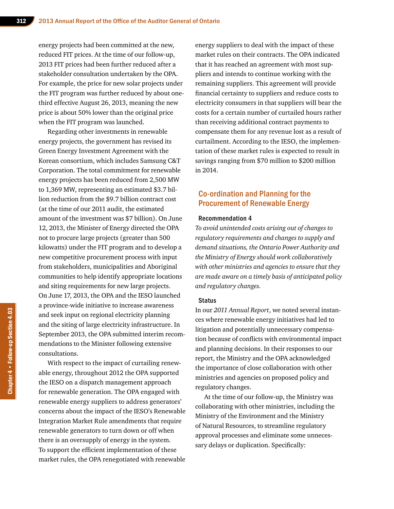energy projects had been committed at the new, reduced FIT prices. At the time of our follow-up, 2013 FIT prices had been further reduced after a stakeholder consultation undertaken by the OPA. For example, the price for new solar projects under the FIT program was further reduced by about onethird effective August 26, 2013, meaning the new price is about 50% lower than the original price when the FIT program was launched.

Regarding other investments in renewable energy projects, the government has revised its Green Energy Investment Agreement with the Korean consortium, which includes Samsung C&T Corporation. The total commitment for renewable energy projects has been reduced from 2,500 MW to 1,369 MW, representing an estimated \$3.7 billion reduction from the \$9.7 billion contract cost (at the time of our 2011 audit, the estimated amount of the investment was \$7 billion). On June 12, 2013, the Minister of Energy directed the OPA not to procure large projects (greater than 500 kilowatts) under the FIT program and to develop a new competitive procurement process with input from stakeholders, municipalities and Aboriginal communities to help identify appropriate locations and siting requirements for new large projects. On June 17, 2013, the OPA and the IESO launched a province-wide initiative to increase awareness and seek input on regional electricity planning and the siting of large electricity infrastructure. In September 2013, the OPA submitted interim recommendations to the Minister following extensive consultations.

With respect to the impact of curtailing renewable energy, throughout 2012 the OPA supported the IESO on a dispatch management approach for renewable generation. The OPA engaged with renewable energy suppliers to address generators' concerns about the impact of the IESO's Renewable Integration Market Rule amendments that require renewable generators to turn down or off when there is an oversupply of energy in the system. To support the efficient implementation of these market rules, the OPA renegotiated with renewable energy suppliers to deal with the impact of these market rules on their contracts. The OPA indicated that it has reached an agreement with most suppliers and intends to continue working with the remaining suppliers. This agreement will provide financial certainty to suppliers and reduce costs to electricity consumers in that suppliers will bear the costs for a certain number of curtailed hours rather than receiving additional contract payments to compensate them for any revenue lost as a result of curtailment. According to the IESO, the implementation of these market rules is expected to result in savings ranging from \$70 million to \$200 million in 2014.

## Co-ordination and Planning for the Procurement of Renewable Energy

#### Recommendation 4

*To avoid unintended costs arising out of changes to regulatory requirements and changes to supply and demand situations, the Ontario Power Authority and the Ministry of Energy should work collaboratively with other ministries and agencies to ensure that they are made aware on a timely basis of anticipated policy and regulatory changes.* 

#### **Status**

In our *2011 Annual Report*, we noted several instances where renewable energy initiatives had led to litigation and potentially unnecessary compensation because of conflicts with environmental impact and planning decisions. In their responses to our report, the Ministry and the OPA acknowledged the importance of close collaboration with other ministries and agencies on proposed policy and regulatory changes.

At the time of our follow-up, the Ministry was collaborating with other ministries, including the Ministry of the Environment and the Ministry of Natural Resources, to streamline regulatory approval processes and eliminate some unnecessary delays or duplication. Specifically: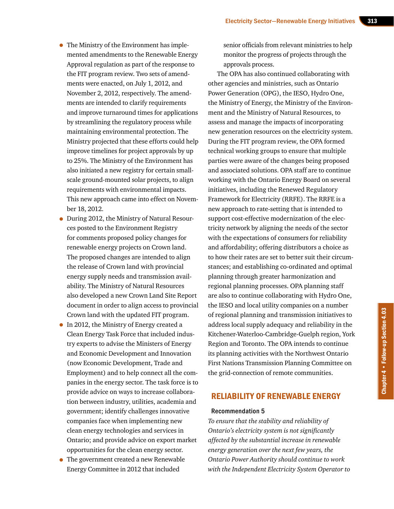- The Ministry of the Environment has implemented amendments to the Renewable Energy Approval regulation as part of the response to the FIT program review. Two sets of amendments were enacted, on July 1, 2012, and November 2, 2012, respectively. The amendments are intended to clarify requirements and improve turnaround times for applications by streamlining the regulatory process while maintaining environmental protection. The Ministry projected that these efforts could help improve timelines for project approvals by up to 25%. The Ministry of the Environment has also initiated a new registry for certain smallscale ground-mounted solar projects, to align requirements with environmental impacts. This new approach came into effect on November 18, 2012.
- During 2012, the Ministry of Natural Resources posted to the Environment Registry for comments proposed policy changes for renewable energy projects on Crown land. The proposed changes are intended to align the release of Crown land with provincial energy supply needs and transmission availability. The Ministry of Natural Resources also developed a new Crown Land Site Report document in order to align access to provincial Crown land with the updated FIT program.
- In 2012, the Ministry of Energy created a Clean Energy Task Force that included industry experts to advise the Ministers of Energy and Economic Development and Innovation (now Economic Development, Trade and Employment) and to help connect all the companies in the energy sector. The task force is to provide advice on ways to increase collaboration between industry, utilities, academia and government; identify challenges innovative companies face when implementing new clean energy technologies and services in Ontario; and provide advice on export market opportunities for the clean energy sector.
- The government created a new Renewable Energy Committee in 2012 that included

senior officials from relevant ministries to help monitor the progress of projects through the approvals process.

The OPA has also continued collaborating with other agencies and ministries, such as Ontario Power Generation (OPG), the IESO, Hydro One, the Ministry of Energy, the Ministry of the Environment and the Ministry of Natural Resources, to assess and manage the impacts of incorporating new generation resources on the electricity system. During the FIT program review, the OPA formed technical working groups to ensure that multiple parties were aware of the changes being proposed and associated solutions. OPA staff are to continue working with the Ontario Energy Board on several initiatives, including the Renewed Regulatory Framework for Electricity (RRFE). The RRFE is a new approach to rate-setting that is intended to support cost-effective modernization of the electricity network by aligning the needs of the sector with the expectations of consumers for reliability and affordability; offering distributors a choice as to how their rates are set to better suit their circumstances; and establishing co-ordinated and optimal planning through greater harmonization and regional planning processes. OPA planning staff are also to continue collaborating with Hydro One, the IESO and local utility companies on a number of regional planning and transmission initiatives to address local supply adequacy and reliability in the Kitchener-Waterloo-Cambridge-Guelph region, York Region and Toronto. The OPA intends to continue its planning activities with the Northwest Ontario First Nations Transmission Planning Committee on the grid-connection of remote communities.

## RELIABILITY OF RENEWABLE ENERGY

#### Recommendation 5

*To ensure that the stability and reliability of Ontario's electricity system is not significantly affected by the substantial increase in renewable energy generation over the next few years, the Ontario Power Authority should continue to work with the Independent Electricity System Operator to*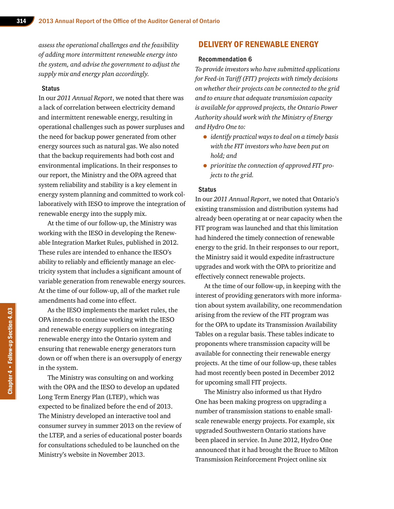*assess the operational challenges and the feasibility of adding more intermittent renewable energy into the system, and advise the government to adjust the supply mix and energy plan accordingly.* 

#### **Status**

In our *2011 Annual Report*, we noted that there was a lack of correlation between electricity demand and intermittent renewable energy, resulting in operational challenges such as power surpluses and the need for backup power generated from other energy sources such as natural gas. We also noted that the backup requirements had both cost and environmental implications. In their responses to our report, the Ministry and the OPA agreed that system reliability and stability is a key element in energy system planning and committed to work collaboratively with IESO to improve the integration of renewable energy into the supply mix.

At the time of our follow-up, the Ministry was working with the IESO in developing the Renewable Integration Market Rules, published in 2012. These rules are intended to enhance the IESO's ability to reliably and efficiently manage an electricity system that includes a significant amount of variable generation from renewable energy sources. At the time of our follow-up, all of the market rule amendments had come into effect.

As the IESO implements the market rules, the OPA intends to continue working with the IESO and renewable energy suppliers on integrating renewable energy into the Ontario system and ensuring that renewable energy generators turn down or off when there is an oversupply of energy in the system.

The Ministry was consulting on and working with the OPA and the IESO to develop an updated Long Term Energy Plan (LTEP), which was expected to be finalized before the end of 2013. The Ministry developed an interactive tool and consumer survey in summer 2013 on the review of the LTEP, and a series of educational poster boards for consultations scheduled to be launched on the Ministry's website in November 2013.

## DELIVERY OF RENEWABLE ENERGY

#### Recommendation 6

*To provide investors who have submitted applications for Feed-in Tariff (FIT) projects with timely decisions on whether their projects can be connected to the grid and to ensure that adequate transmission capacity is available for approved projects, the Ontario Power Authority should work with the Ministry of Energy and Hydro One to:*

- *identify practical ways to deal on a timely basis with the FIT investors who have been put on hold; and*
- *prioritize the connection of approved FIT projects to the grid.*

#### **Status**

In our *2011 Annual Report*, we noted that Ontario's existing transmission and distribution systems had already been operating at or near capacity when the FIT program was launched and that this limitation had hindered the timely connection of renewable energy to the grid. In their responses to our report, the Ministry said it would expedite infrastructure upgrades and work with the OPA to prioritize and effectively connect renewable projects.

At the time of our follow-up, in keeping with the interest of providing generators with more information about system availability, one recommendation arising from the review of the FIT program was for the OPA to update its Transmission Availability Tables on a regular basis. These tables indicate to proponents where transmission capacity will be available for connecting their renewable energy projects. At the time of our follow-up, these tables had most recently been posted in December 2012 for upcoming small FIT projects.

The Ministry also informed us that Hydro One has been making progress on upgrading a number of transmission stations to enable smallscale renewable energy projects. For example, six upgraded Southwestern Ontario stations have been placed in service. In June 2012, Hydro One announced that it had brought the Bruce to Milton Transmission Reinforcement Project online six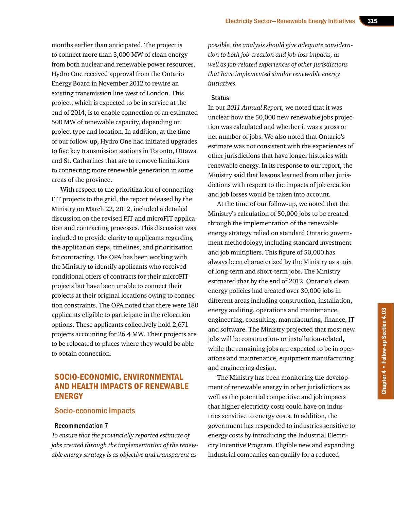months earlier than anticipated. The project is to connect more than 3,000 MW of clean energy from both nuclear and renewable power resources. Hydro One received approval from the Ontario Energy Board in November 2012 to rewire an existing transmission line west of London. This project, which is expected to be in service at the end of 2014, is to enable connection of an estimated 500 MW of renewable capacity, depending on project type and location. In addition, at the time of our follow-up, Hydro One had initiated upgrades to five key transmission stations in Toronto, Ottawa and St. Catharines that are to remove limitations to connecting more renewable generation in some areas of the province.

With respect to the prioritization of connecting FIT projects to the grid, the report released by the Ministry on March 22, 2012, included a detailed discussion on the revised FIT and microFIT application and contracting processes. This discussion was included to provide clarity to applicants regarding the application steps, timelines, and prioritization for contracting. The OPA has been working with the Ministry to identify applicants who received conditional offers of contracts for their microFIT projects but have been unable to connect their projects at their original locations owing to connection constraints. The OPA noted that there were 180 applicants eligible to participate in the relocation options. These applicants collectively hold 2,671 projects accounting for 26.4 MW. Their projects are to be relocated to places where they would be able to obtain connection.

# SOCIO-ECONOMIC, ENVIRONMENTAL AND HEALTH IMPACTS OF RENEWABLE **ENERGY**

### Socio-economic Impacts

#### Recommendation 7

*To ensure that the provincially reported estimate of jobs created through the implementation of the renewable energy strategy is as objective and transparent as* 

*possible, the analysis should give adequate consideration to both job-creation and job-loss impacts, as well as job-related experiences of other jurisdictions that have implemented similar renewable energy initiatives.*

#### Status

In our *2011 Annual Report*, we noted that it was unclear how the 50,000 new renewable jobs projection was calculated and whether it was a gross or net number of jobs. We also noted that Ontario's estimate was not consistent with the experiences of other jurisdictions that have longer histories with renewable energy. In its response to our report, the Ministry said that lessons learned from other jurisdictions with respect to the impacts of job creation and job losses would be taken into account.

At the time of our follow-up, we noted that the Ministry's calculation of 50,000 jobs to be created through the implementation of the renewable energy strategy relied on standard Ontario government methodology, including standard investment and job multipliers. This figure of 50,000 has always been characterized by the Ministry as a mix of long-term and short-term jobs. The Ministry estimated that by the end of 2012, Ontario's clean energy policies had created over 30,000 jobs in different areas including construction, installation, energy auditing, operations and maintenance, engineering, consulting, manufacturing, finance, IT and software. The Ministry projected that most new jobs will be construction- or installation-related, while the remaining jobs are expected to be in operations and maintenance, equipment manufacturing and engineering design.

The Ministry has been monitoring the development of renewable energy in other jurisdictions as well as the potential competitive and job impacts that higher electricity costs could have on industries sensitive to energy costs. In addition, the government has responded to industries sensitive to energy costs by introducing the Industrial Electricity Incentive Program. Eligible new and expanding industrial companies can qualify for a reduced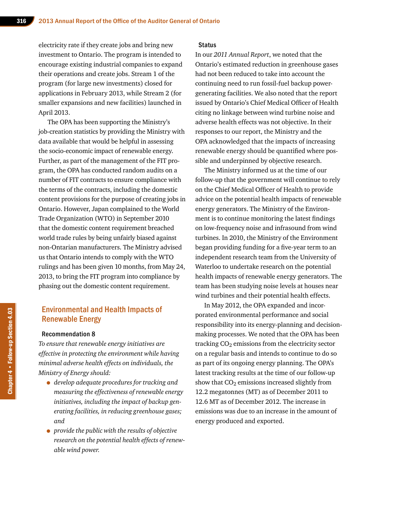electricity rate if they create jobs and bring new investment to Ontario. The program is intended to encourage existing industrial companies to expand their operations and create jobs. Stream 1 of the program (for large new investments) closed for applications in February 2013, while Stream 2 (for smaller expansions and new facilities) launched in April 2013.

The OPA has been supporting the Ministry's job-creation statistics by providing the Ministry with data available that would be helpful in assessing the socio-economic impact of renewable energy. Further, as part of the management of the FIT program, the OPA has conducted random audits on a number of FIT contracts to ensure compliance with the terms of the contracts, including the domestic content provisions for the purpose of creating jobs in Ontario. However, Japan complained to the World Trade Organization (WTO) in September 2010 that the domestic content requirement breached world trade rules by being unfairly biased against non-Ontarian manufacturers. The Ministry advised us that Ontario intends to comply with the WTO rulings and has been given 10 months, from May 24, 2013, to bring the FIT program into compliance by phasing out the domestic content requirement.

# Environmental and Health Impacts of Renewable Energy

#### Recommendation 8

*To ensure that renewable energy initiatives are effective in protecting the environment while having minimal adverse health effects on individuals, the Ministry of Energy should:*

- *develop adequate procedures for tracking and measuring the effectiveness of renewable energy initiatives, including the impact of backup generating facilities, in reducing greenhouse gases; and*
- *provide the public with the results of objective research on the potential health effects of renewable wind power.*

#### **Status**

In our *2011 Annual Report*, we noted that the Ontario's estimated reduction in greenhouse gases had not been reduced to take into account the continuing need to run fossil-fuel backup powergenerating facilities. We also noted that the report issued by Ontario's Chief Medical Officer of Health citing no linkage between wind turbine noise and adverse health effects was not objective. In their responses to our report, the Ministry and the OPA acknowledged that the impacts of increasing renewable energy should be quantified where possible and underpinned by objective research.

The Ministry informed us at the time of our follow-up that the government will continue to rely on the Chief Medical Officer of Health to provide advice on the potential health impacts of renewable energy generators. The Ministry of the Environment is to continue monitoring the latest findings on low-frequency noise and infrasound from wind turbines. In 2010, the Ministry of the Environment began providing funding for a five-year term to an independent research team from the University of Waterloo to undertake research on the potential health impacts of renewable energy generators. The team has been studying noise levels at houses near wind turbines and their potential health effects.

In May 2012, the OPA expanded and incorporated environmental performance and social responsibility into its energy-planning and decisionmaking processes. We noted that the OPA has been tracking  $CO<sub>2</sub>$  emissions from the electricity sector on a regular basis and intends to continue to do so as part of its ongoing energy planning. The OPA's latest tracking results at the time of our follow-up show that  $CO<sub>2</sub>$  emissions increased slightly from 12.2 megatonnes (MT) as of December 2011 to 12.6 MT as of December 2012. The increase in emissions was due to an increase in the amount of energy produced and exported.